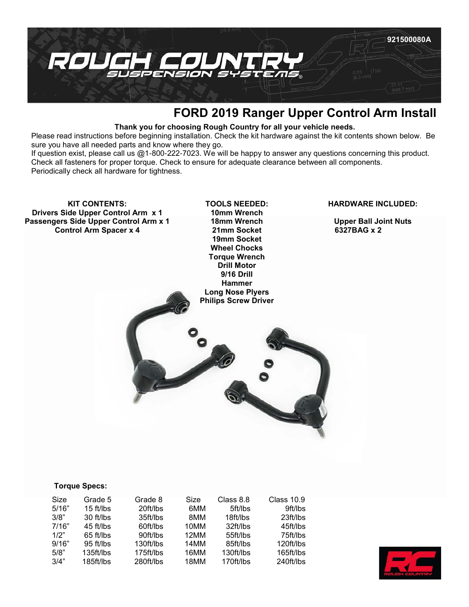

# **FORD 2019 Ranger Upper Control Arm Install**

## **Thank you for choosing Rough Country for all your vehicle needs.**

Please read instructions before beginning installation. Check the kit hardware against the kit contents shown below. Be sure you have all needed parts and know where they go.

If question exist, please call us @1-800-222-7023. We will be happy to answer any questions concerning this product. Check all fasteners for proper torque. Check to ensure for adequate clearance between all components. Periodically check all hardware for tightness.

**KIT CONTENTS: Drivers Side Upper Control Arm x 1 Passengers Side Upper Control Arm x 1 Control Arm Spacer x 4**

**TOOLS NEEDED: 10mm Wrench 18mm Wrench 21mm Socket 19mm Socket Wheel Chocks Torque Wrench Drill Motor 9/16 Drill Hammer Long Nose Plyers Philips Screw Driver**

#### **HARDWARE INCLUDED:**

**Upper Ball Joint Nuts 6327BAG x 2** 

#### **Torque Specs:**

| Size  | Grade 5     | Grade 8   | Size | Class 8.8 | <b>Class 10.9</b> |
|-------|-------------|-----------|------|-----------|-------------------|
| 5/16" | $15$ ft/lbs | 20ft/lbs  | 6MM  | 5ft/lbs   | 9ft/lbs           |
| 3/8"  | 30 ft/lbs   | 35ft/lbs  | 8MM  | 18ft/lbs  | 23 ft/lbs         |
| 7/16" | 45 ft/lbs   | 60ft/lbs  | 10MM | 32ft/lbs  | 45ft/lbs          |
| 1/2"  | $65$ ft/lbs | 90ft/lbs  | 12MM | 55ft/lbs  | 75ft/lbs          |
| 9/16" | 95 ft/lbs   | 130ft/lbs | 14MM | 85ft/lbs  | 120ft/lbs         |
| 5/8"  | 135ft/lbs   | 175ft/lbs | 16MM | 130ft/lbs | 165ft/lbs         |
| 3/4"  | 185ft/lbs   | 280ft/lbs | 18MM | 170ft/lbs | 240ft/lbs         |

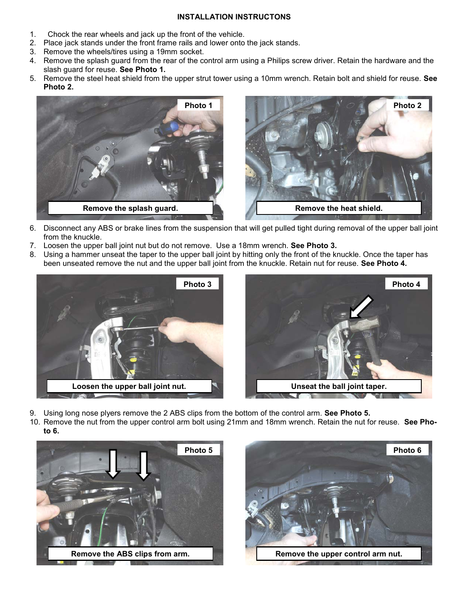### **INSTALLATION INSTRUCTONS**

- 1. Chock the rear wheels and jack up the front of the vehicle.
- 2. Place jack stands under the front frame rails and lower onto the jack stands.
- 3. Remove the wheels/tires using a 19mm socket.
- 4. Remove the splash guard from the rear of the control arm using a Philips screw driver. Retain the hardware and the slash guard for reuse. **See Photo 1.**
- 5. Remove the steel heat shield from the upper strut tower using a 10mm wrench. Retain bolt and shield for reuse. **See Photo 2.**



- 6. Disconnect any ABS or brake lines from the suspension that will get pulled tight during removal of the upper ball joint from the knuckle.
- 7. Loosen the upper ball joint nut but do not remove. Use a 18mm wrench. **See Photo 3.**
- 8. Using a hammer unseat the taper to the upper ball joint by hitting only the front of the knuckle. Once the taper has been unseated remove the nut and the upper ball joint from the knuckle. Retain nut for reuse. **See Photo 4.**





- 9. Using long nose plyers remove the 2 ABS clips from the bottom of the control arm. **See Photo 5.**
- 10. Remove the nut from the upper control arm bolt using 21mm and 18mm wrench. Retain the nut for reuse. **See Photo 6.**



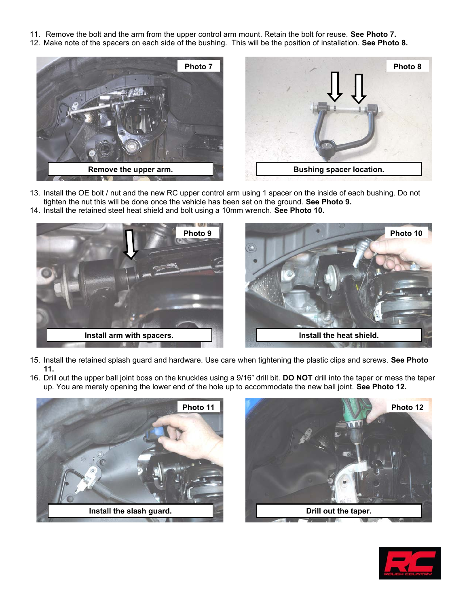- 11. Remove the bolt and the arm from the upper control arm mount. Retain the bolt for reuse. **See Photo 7.**
- 12. Make note of the spacers on each side of the bushing. This will be the position of installation. **See Photo 8.**





- 13. Install the OE bolt / nut and the new RC upper control arm using 1 spacer on the inside of each bushing. Do not tighten the nut this will be done once the vehicle has been set on the ground. **See Photo 9.**
- 14. Install the retained steel heat shield and bolt using a 10mm wrench. **See Photo 10.**



- 15. Install the retained splash guard and hardware. Use care when tightening the plastic clips and screws. **See Photo 11.**
- 16. Drill out the upper ball joint boss on the knuckles using a 9/16" drill bit. **DO NOT** drill into the taper or mess the taper up. You are merely opening the lower end of the hole up to accommodate the new ball joint. **See Photo 12.**